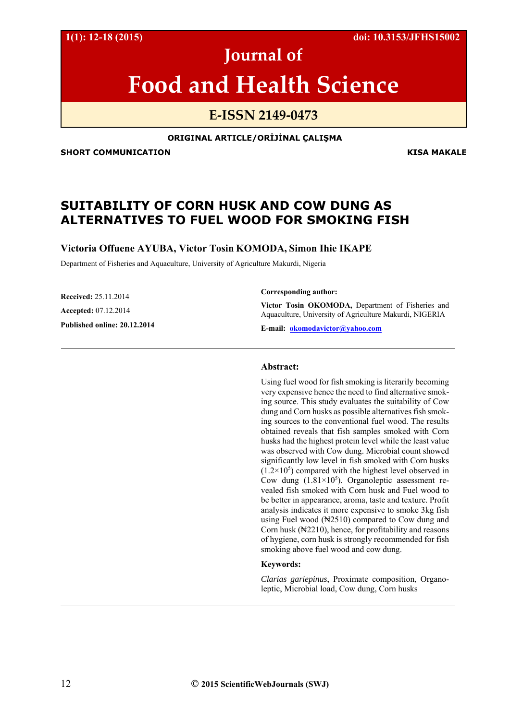**1(1): 12-18 (2015) doi: 10.3153/JFHS15002**

# **Journal of**

# **Food and Health Science**

### **E‐ISSN 2149‐0473**

#### **ORIGINAL ARTICLE/ORİJİNAL ÇALIŞMA**

**SHORT COMMUNICATION GENERAL RESOLUTION COMMUNICATION** 

## **SUITABILITY OF CORN HUSK AND COW DUNG AS ALTERNATIVES TO FUEL WOOD FOR SMOKING FISH**

**Victoria Offuene AYUBA, Victor Tosin KOMODA, Simon Ihie IKAPE** 

Department of Fisheries and Aquaculture, University of Agriculture Makurdi, Nigeria

**Received:** 25.11.2014 **Accepted:** 07.12.2014 **Published online: 20.12.2014** 

#### **Corresponding author:**

**Victor Tosin OKOMODA,** Department of Fisheries and Aquaculture, University of Agriculture Makurdi, NIGERIA

**E-mail: okomodavictor@yahoo.com** 

#### **Abstract:**

Using fuel wood for fish smoking is literarily becoming very expensive hence the need to find alternative smoking source. This study evaluates the suitability of Cow dung and Corn husks as possible alternatives fish smoking sources to the conventional fuel wood. The results obtained reveals that fish samples smoked with Corn husks had the highest protein level while the least value was observed with Cow dung. Microbial count showed significantly low level in fish smoked with Corn husks  $(1.2 \times 10^5)$  compared with the highest level observed in Cow dung  $(1.81 \times 10^5)$ . Organoleptic assessment revealed fish smoked with Corn husk and Fuel wood to be better in appearance, aroma, taste and texture. Profit analysis indicates it more expensive to smoke 3kg fish using Fuel wood (New 2510) compared to Cow dung and Corn husk (₦2210), hence, for profitability and reasons of hygiene, corn husk is strongly recommended for fish smoking above fuel wood and cow dung.

#### **Keywords:**

*Clarias gariepinus*, Proximate composition, Organoleptic, Microbial load, Cow dung, Corn husks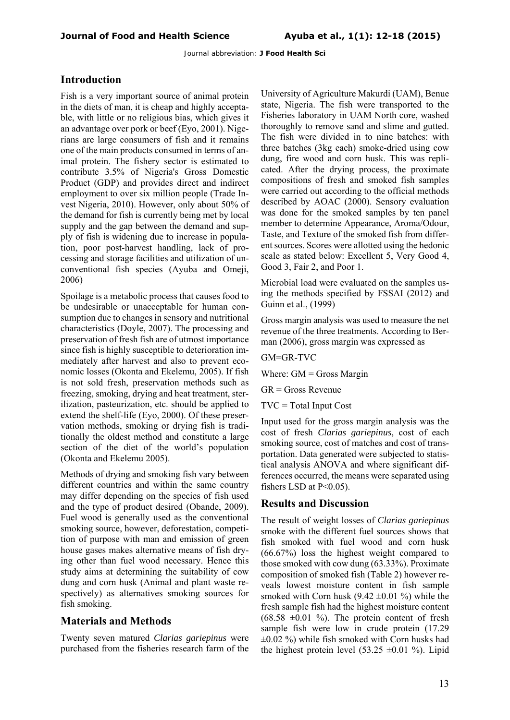#### **Introduction**

Fish is a very important source of animal protein in the diets of man, it is cheap and highly acceptable, with little or no religious bias, which gives it an advantage over pork or beef (Eyo, 2001). Nigerians are large consumers of fish and it remains one of the main products consumed in terms of animal protein. The fishery sector is estimated to contribute 3.5% of Nigeria's Gross Domestic Product (GDP) and provides direct and indirect employment to over six million people (Trade Invest Nigeria, 2010). However, only about 50% of the demand for fish is currently being met by local supply and the gap between the demand and supply of fish is widening due to increase in population, poor post-harvest handling, lack of processing and storage facilities and utilization of unconventional fish species (Ayuba and Omeji, 2006)

Spoilage is a metabolic process that causes food to be undesirable or unacceptable for human consumption due to changes in sensory and nutritional characteristics (Doyle, 2007). The processing and preservation of fresh fish are of utmost importance since fish is highly susceptible to deterioration immediately after harvest and also to prevent economic losses (Okonta and Ekelemu, 2005). If fish is not sold fresh, preservation methods such as freezing, smoking, drying and heat treatment, sterilization, pasteurization, etc. should be applied to extend the shelf-life (Eyo, 2000). Of these preservation methods, smoking or drying fish is traditionally the oldest method and constitute a large section of the diet of the world's population (Okonta and Ekelemu 2005).

Methods of drying and smoking fish vary between different countries and within the same country may differ depending on the species of fish used and the type of product desired (Obande, 2009). Fuel wood is generally used as the conventional smoking source, however, deforestation, competition of purpose with man and emission of green house gases makes alternative means of fish drying other than fuel wood necessary. Hence this study aims at determining the suitability of cow dung and corn husk (Animal and plant waste respectively) as alternatives smoking sources for fish smoking.

#### **Materials and Methods**

Twenty seven matured *Clarias gariepinus* were purchased from the fisheries research farm of the

University of Agriculture Makurdi (UAM), Benue state, Nigeria. The fish were transported to the Fisheries laboratory in UAM North core, washed thoroughly to remove sand and slime and gutted. The fish were divided in to nine batches: with three batches (3kg each) smoke-dried using cow dung, fire wood and corn husk. This was replicated. After the drying process, the proximate compositions of fresh and smoked fish samples were carried out according to the official methods described by AOAC (2000). Sensory evaluation was done for the smoked samples by ten panel member to determine Appearance, Aroma/Odour, Taste, and Texture of the smoked fish from different sources. Scores were allotted using the hedonic scale as stated below: Excellent 5, Very Good 4, Good 3, Fair 2, and Poor 1.

Microbial load were evaluated on the samples using the methods specified by FSSAI (2012) and Guinn et al., (1999)

Gross margin analysis was used to measure the net revenue of the three treatments. According to Berman (2006), gross margin was expressed as

GM=GR-TVC

Where:  $GM =$  Gross Margin

GR = Gross Revenue

 $TVC = Total Input Cost$ 

Input used for the gross margin analysis was the cost of fresh *Clarias gariepinus*, cost of each smoking source, cost of matches and cost of transportation. Data generated were subjected to statistical analysis ANOVA and where significant differences occurred, the means were separated using fishers LSD at  $P<0.05$ ).

#### **Results and Discussion**

The result of weight losses of *Clarias gariepinus* smoke with the different fuel sources shows that fish smoked with fuel wood and corn husk (66.67%) loss the highest weight compared to those smoked with cow dung (63.33%). Proximate composition of smoked fish (Table 2) however reveals lowest moisture content in fish sample smoked with Corn husk  $(9.42 \pm 0.01 \%)$  while the fresh sample fish had the highest moisture content  $(68.58 \pm 0.01 \%)$ . The protein content of fresh sample fish were low in crude protein (17.29  $\pm 0.02$  %) while fish smoked with Corn husks had the highest protein level  $(53.25 \pm 0.01 \%)$ . Lipid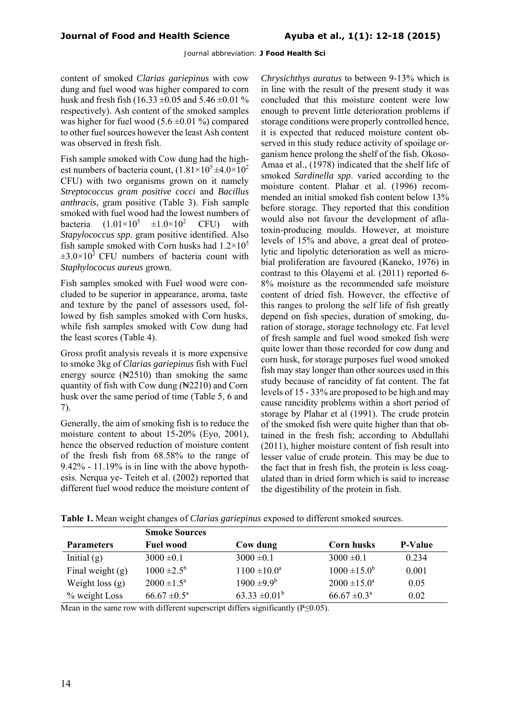content of smoked *Clarias gariepinus* with cow dung and fuel wood was higher compared to corn husk and fresh fish (16.33  $\pm$ 0.05 and 5.46  $\pm$ 0.01 % respectively). Ash content of the smoked samples was higher for fuel wood  $(5.6 \pm 0.01 \%)$  compared to other fuel sources however the least Ash content was observed in fresh fish.

Fish sample smoked with Cow dung had the highest numbers of bacteria count,  $(1.81 \times 10^5 \pm 4.0 \times 10^2$ CFU) with two organisms grown on it namely *Streptococcus gram positive cocci* and *Bacillus anthracis*, gram positive (Table 3). Fish sample smoked with fuel wood had the lowest numbers of bacteria  $(1.01 \times 10^5 \pm 1.0 \times 10^2 \text{ CFU})$  with *Stapylococcus spp.* gram positive identified. Also fish sample smoked with Corn husks had  $1.2 \times 10^5$  $\pm 3.0\times10^2$  CFU numbers of bacteria count with *Staphylococus aureus* grown.

Fish samples smoked with Fuel wood were concluded to be superior in appearance, aroma, taste and texture by the panel of assessors used, followed by fish samples smoked with Corn husks, while fish samples smoked with Cow dung had the least scores (Table 4).

Gross profit analysis reveals it is more expensive to smoke 3kg of *Clarias gariepinus* fish with Fuel energy source  $(*2510)$  than smoking the same quantity of fish with Cow dung  $(\frac{N2210}{9})$  and Corn husk over the same period of time (Table 5, 6 and 7).

Generally, the aim of smoking fish is to reduce the moisture content to about 15-20% (Eyo, 2001), hence the observed reduction of moisture content of the fresh fish from 68.58% to the range of 9.42% - 11.19% is in line with the above hypothesis. Nerqua ye- Teiteh et al. (2002) reported that different fuel wood reduce the moisture content of

*Chrysichthys auratus* to between 9-13% which is in line with the result of the present study it was concluded that this moisture content were low enough to prevent little deterioration problems if storage conditions were properly controlled hence, it is expected that reduced moisture content observed in this study reduce activity of spoilage organism hence prolong the shelf of the fish. Okoso-Amaa et al., (1978) indicated that the shelf life of smoked *Sardinella spp*. varied according to the moisture content. Plahar et al. (1996) recommended an initial smoked fish content below 13% before storage. They reported that this condition would also not favour the development of aflatoxin-producing moulds. However, at moisture levels of 15% and above, a great deal of proteolytic and lipolytic deterioration as well as microbial proliferation are favoured (Kaneko, 1976) in contrast to this Olayemi et al. (2011) reported 6- 8% moisture as the recommended safe moisture content of dried fish. However, the effective of this ranges to prolong the self life of fish greatly depend on fish species, duration of smoking, duration of storage, storage technology etc. Fat level of fresh sample and fuel wood smoked fish were quite lower than those recorded for cow dung and corn husk, for storage purposes fuel wood smoked fish may stay longer than other sources used in this study because of rancidity of fat content. The fat levels of 15 - 33% are proposed to be high and may cause rancidity problems within a short period of storage by Plahar et al (1991). The crude protein of the smoked fish were quite higher than that obtained in the fresh fish; according to Abdullahi (2011), higher moisture content of fish result into lesser value of crude protein. This may be due to the fact that in fresh fish, the protein is less coagulated than in dried form which is said to increase the digestibility of the protein in fish.

**Table 1.** Mean weight changes of *Clarias gariepinus* exposed to different smoked sources.

|                    | <b>Smoke Sources</b>       |                    |                            |                |
|--------------------|----------------------------|--------------------|----------------------------|----------------|
| <b>Parameters</b>  | <b>Fuel wood</b>           | Cow dung           | Corn husks                 | <b>P-Value</b> |
| Initial $(g)$      | $3000 \pm 0.1$             | $3000 \pm 0.1$     | $3000 \pm 0.1$             | 0.234          |
| Final weight $(g)$ | $1000 \pm 2.5^{\rm b}$     | $1100 \pm 10.0^a$  | $1000 \pm 15.0^b$          | 0.001          |
| Weight loss $(g)$  | $2000 \pm 1.5^{\circ}$     | $1900 \pm 9.9^b$   | $2000 \pm 15.0^{\circ}$    | 0.05           |
| % weight Loss      | $66.67 \pm 0.5^{\text{a}}$ | $63.33 \pm 0.01^b$ | $66.67 \pm 0.3^{\text{a}}$ | 0.02           |

Mean in the same row with different superscript differs significantly ( $P \le 0.05$ ).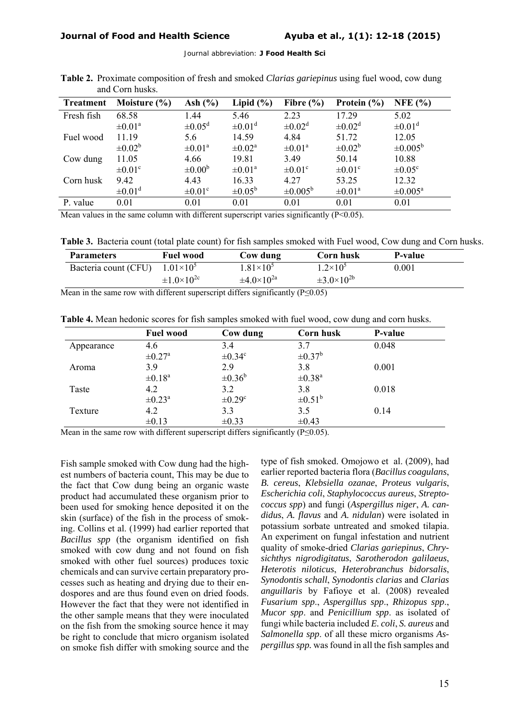| <b>Treatment</b> | Moisture $(\% )$        | Ash $(\% )$           | Lipid $(\% )$           | Fibre $(\% )$       | Protein $(\% )$       | NFE $(% )$              |
|------------------|-------------------------|-----------------------|-------------------------|---------------------|-----------------------|-------------------------|
| Fresh fish       | 68.58                   | 1.44                  | 5.46                    | 2.23                | 17.29                 | 5.02                    |
|                  | $\pm 0.01^{\circ}$      | $\pm 0.05^{\rm d}$    | $\pm 0.01$ <sup>d</sup> | $\pm 0.02^d$        | $\pm 0.02^d$          | $\pm 0.01$ <sup>d</sup> |
| Fuel wood        | 11.19                   | 5.6                   | 14.59                   | 4.84                | 51.72                 | 12.05                   |
|                  | $\pm 0.02^b$            | $\pm 0.01^{\text{a}}$ | $\pm 0.02^{\text{a}}$   | $\pm 0.01^{\circ}$  | $\pm 0.02^{\rm b}$    | $\pm 0.005^{\rm b}$     |
| Cow dung         | 11.05                   | 4.66                  | 19.81                   | 3.49                | 50.14                 | 10.88                   |
|                  | $\pm 0.01^{\circ}$      | $\pm 0.00^{\rm b}$    | $\pm 0.01^{\circ}$      | $\pm 0.01^{\circ}$  | $\pm 0.01^{\circ}$    | $\pm 0.05^{\circ}$      |
| Corn husk        | 9.42                    | 4.43                  | 16.33                   | 4.27                | 53.25                 | 12.32                   |
|                  | $\pm 0.01$ <sup>d</sup> | $\pm 0.01^{\circ}$    | $\pm 0.05^{\rm b}$      | $\pm 0.005^{\rm b}$ | $\pm 0.01^{\text{a}}$ | $\pm 0.005^{\rm a}$     |
| P. value         | 0.01                    | 0.01                  | 0.01                    | 0.01                | 0.01                  | 0.01                    |

**Table 2.** Proximate composition of fresh and smoked *Clarias gariepinus* using fuel wood, cow dung and Corn husks.

Mean values in the same column with different superscript varies significantly (P<0.05).

**Table 3.** Bacteria count (total plate count) for fish samples smoked with Fuel wood, Cow dung and Corn husks.

| <b>Parameters</b>    | <b>Fuel wood</b>         | Cow dung                 | <b>Corn husk</b>         | P-value |
|----------------------|--------------------------|--------------------------|--------------------------|---------|
| Bacteria count (CFU) | $1.01\times10^{5}$       | $1.81\times10^{5}$       | $1.2 \times 10^5$        | 0.001   |
|                      | $\pm 1.0 \times 10^{2c}$ | $\pm 4.0 \times 10^{2a}$ | $\pm 3.0 \times 10^{2b}$ |         |

Mean in the same row with different superscript differs significantly ( $P \le 0.05$ )

**Table 4.** Mean hedonic scores for fish samples smoked with fuel wood, cow dung and corn husks.

|            | <b>Fuel wood</b>        | Cow dung           | Corn husk               | <b>P-value</b> |
|------------|-------------------------|--------------------|-------------------------|----------------|
| Appearance | 4.6                     | 3.4                | 3.7                     | 0.048          |
|            | $\pm 0.27$ <sup>a</sup> | $\pm 0.34^c$       | $\pm 0.37^{\rm b}$      |                |
| Aroma      | 3.9                     | 2.9                | 3.8                     | 0.001          |
|            | $\pm 0.18$ <sup>a</sup> | $\pm 0.36^{\rm b}$ | $\pm 0.38$ <sup>a</sup> |                |
| Taste      | 4.2                     | 3.2                | 3.8                     | 0.018          |
|            | $\pm 0.23$ <sup>a</sup> | $\pm 0.29^{\circ}$ | $\pm 0.51^{\rm b}$      |                |
| Texture    | 4.2                     | 3.3                | 3.5                     | 0.14           |
|            | $\pm 0.13$              | $\pm 0.33$         | $\pm 0.43$              |                |

Mean in the same row with different superscript differs significantly ( $P \le 0.05$ ).

Fish sample smoked with Cow dung had the highest numbers of bacteria count, This may be due to the fact that Cow dung being an organic waste product had accumulated these organism prior to been used for smoking hence deposited it on the skin (surface) of the fish in the process of smoking. Collins et al. (1999) had earlier reported that *Bacillus spp* (the organism identified on fish smoked with cow dung and not found on fish smoked with other fuel sources) produces toxic chemicals and can survive certain preparatory processes such as heating and drying due to their endospores and are thus found even on dried foods. However the fact that they were not identified in the other sample means that they were inoculated on the fish from the smoking source hence it may be right to conclude that micro organism isolated on smoke fish differ with smoking source and the

type of fish smoked. Omojowo et al. (2009), had earlier reported bacteria flora (*Bacillus coagulans*, *B. cereus*, *Klebsiella ozanae*, *Proteus vulgaris*, *Escherichia coli*, *Staphylococcus aureus*, *Streptococcus spp*) and fungi (*Aspergillus niger*, *A. candidus*, *A. flavus* and *A. nidulan*) were isolated in potassium sorbate untreated and smoked tilapia. An experiment on fungal infestation and nutrient quality of smoke-dried *Clarias gariepinus*, *Chrysichthys nigrodigitatus*, *Sarotherodon galilaeus*, *Heterotis niloticus*, *Heterobranchus bidorsalis*, *Synodontis schall*, *Synodontis clarias* and *Clarias anguillaris* by Fafioye et al. (2008) revealed *Fusarium spp*., *Aspergillus spp*., *Rhizopus spp*., *Mucor spp*. and *Penicillium spp*. as isolated of fungi while bacteria included *E. coli*, *S. aureus* and *Salmonella spp*. of all these micro organisms *Aspergillus spp.* was found in all the fish samples and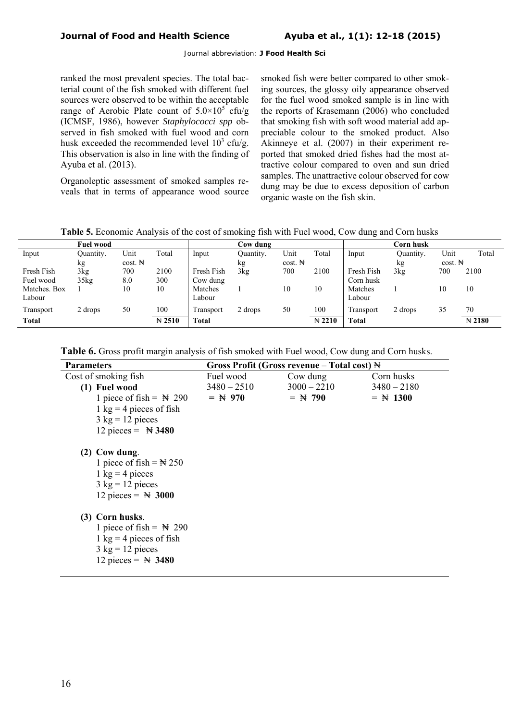ranked the most prevalent species. The total bacterial count of the fish smoked with different fuel sources were observed to be within the acceptable range of Aerobic Plate count of  $5.0 \times 10^5$  cfu/g (ICMSF, 1986), however *Staphylococci spp* observed in fish smoked with fuel wood and corn husk exceeded the recommended level  $10^3$  cfu/g. This observation is also in line with the finding of Ayuba et al. (2013).

Organoleptic assessment of smoked samples reveals that in terms of appearance wood source smoked fish were better compared to other smoking sources, the glossy oily appearance observed for the fuel wood smoked sample is in line with the reports of Krasemann (2006) who concluded that smoking fish with soft wood material add appreciable colour to the smoked product. Also Akinneye et al. (2007) in their experiment reported that smoked dried fishes had the most attractive colour compared to oven and sun dried samples. The unattractive colour observed for cow dung may be due to excess deposition of carbon organic waste on the fish skin.

|  |  |  | Table 5. Economic Analysis of the cost of smoking fish with Fuel wood, Cow dung and Corn husks |
|--|--|--|------------------------------------------------------------------------------------------------|
|--|--|--|------------------------------------------------------------------------------------------------|

| <b>Fuel wood</b> |                      |                   |              | Cow dung  |           |                   |              | C <b>orn husk</b> |           |                |
|------------------|----------------------|-------------------|--------------|-----------|-----------|-------------------|--------------|-------------------|-----------|----------------|
| Ouantity.        | Unit                 | Total             | Input        | Ouantity. | Unit      | Total             | Input        | Quantity.         | Unit      | Total          |
| kg               | $cost. \n\mathbb{N}$ |                   |              | kg        | $cost.$ N |                   |              | kg                | $cost.$ N |                |
| 3kg              | 700                  | 2100              | Fresh Fish   | 3kg       | 700       | 2100              | Fresh Fish   | 3kg               | 700       | 2100           |
| 35kg             | 8.0                  | 300               | Cow dung     |           |           |                   | Corn husk    |                   |           |                |
|                  | 10                   | 10                | Matches      |           | 10        | 10                | Matches      |                   | 10        | 10             |
|                  |                      |                   | Labour       |           |           |                   | Labour       |                   |           |                |
| 2 drops          | 50                   | 100               | Fransport    | 2 drops   | 50        | 100               | Transport    | 2 drops           | 35        | 70             |
|                  |                      | $\mathbb{N} 2510$ | <b>Total</b> |           |           | $\mathbb{N}$ 2210 | <b>Total</b> |                   |           | $\approx 2180$ |
|                  |                      |                   |              |           |           |                   |              |                   |           |                |

| Table 6. Gross profit margin analysis of fish smoked with Fuel wood, Cow dung and Corn husks. |
|-----------------------------------------------------------------------------------------------|
|-----------------------------------------------------------------------------------------------|

| <b>Parameters</b>                         |               | Gross Profit (Gross revenue – Total cost) $\mathbb H$ |               |
|-------------------------------------------|---------------|-------------------------------------------------------|---------------|
| Cost of smoking fish                      | Fuel wood     | Cow dung                                              | Corn husks    |
| (1) Fuel wood                             | $3480 - 2510$ | $3000 - 2210$                                         | $3480 - 2180$ |
| 1 piece of fish = $\cancel{ }$ N 290      | $=$ N 970     | $=$ N 790                                             | $=$ N 1300    |
| 1 kg = 4 pieces of fish                   |               |                                                       |               |
| $3 \text{ kg} = 12 \text{ pieces}$        |               |                                                       |               |
| 12 pieces = $\angle$ 3480                 |               |                                                       |               |
|                                           |               |                                                       |               |
| $(2)$ Cow dung.                           |               |                                                       |               |
| 1 piece of fish = $\angle 250$            |               |                                                       |               |
| $1 \text{ kg} = 4 \text{ pieces}$         |               |                                                       |               |
| $3 \text{ kg} = 12 \text{ pieces}$        |               |                                                       |               |
| 12 pieces = $\cancel{ }3000$              |               |                                                       |               |
|                                           |               |                                                       |               |
| (3) Corn husks.                           |               |                                                       |               |
| 1 piece of fish = $\cancel{ }$ N 290      |               |                                                       |               |
|                                           |               |                                                       |               |
| $1 \text{ kg} = 4 \text{ pieces of fish}$ |               |                                                       |               |
| $3 \text{ kg} = 12 \text{ pieces}$        |               |                                                       |               |
| 12 pieces = $\cancel{ }3480$              |               |                                                       |               |
|                                           |               |                                                       |               |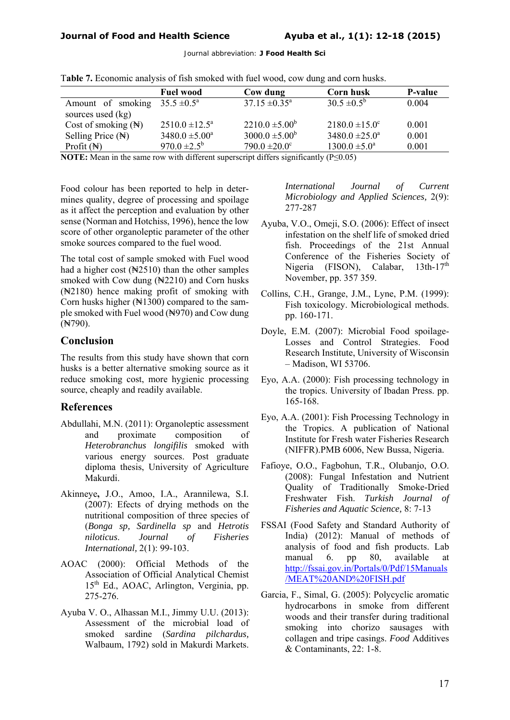|                                                                                                                                                            | <b>Fuel wood</b>          | Cow dung                      | <b>Corn husk</b>          | <b>P-value</b> |
|------------------------------------------------------------------------------------------------------------------------------------------------------------|---------------------------|-------------------------------|---------------------------|----------------|
| Amount of smoking                                                                                                                                          | $35.5 \pm 0.5^{\circ}$    | $37.15 \pm 0.35^{\text{a}}$   | $30.5 \pm 0.5^{\rm b}$    | 0.004          |
| sources used (kg)                                                                                                                                          |                           |                               |                           |                |
| Cost of smoking $(\mathbb{N})$                                                                                                                             | $2510.0 \pm 12.5^{\circ}$ | $2210.0 \pm 5.00^b$           | $2180.0 \pm 15.0^{\circ}$ | 0.001          |
| Selling Price $(\mathbb{H})$                                                                                                                               | $3480.0 \pm 5.00^a$       | $3000.0 \pm 5.00^b$           | $3480.0 \pm 25.0^{\circ}$ | 0.001          |
| Profit $(\mathbb{N})$                                                                                                                                      | $970.0 \pm 2.5^{\rm b}$   | $790.0 \pm 20.0$ <sup>c</sup> | $1300.0 \pm 5.0^{\circ}$  | 0.001          |
| <b>MOTE</b> , M., a fact the contract of the 1100 and contract the 1100 and contract $\mathbb{C}$ and $(\mathbb{D} \times \mathbb{C} \times \mathbb{C}^2)$ |                           |                               |                           |                |

T**able 7.** Economic analysis of fish smoked with fuel wood, cow dung and corn husks.

**NOTE:** Mean in the same row with different superscript differs significantly (P≤0.05)

Food colour has been reported to help in determines quality, degree of processing and spoilage as it affect the perception and evaluation by other sense (Norman and Hotchiss, 1996), hence the low score of other organoleptic parameter of the other smoke sources compared to the fuel wood.

The total cost of sample smoked with Fuel wood had a higher cost  $(\sqrt{2510})$  than the other samples smoked with Cow dung  $(\frac{1}{2210})$  and Corn husks (₦2180) hence making profit of smoking with Corn husks higher  $(\mathbb{N}1300)$  compared to the sample smoked with Fuel wood  $(\frac{N}{970})$  and Cow dung (₦790).

#### **Conclusion**

The results from this study have shown that corn husks is a better alternative smoking source as it reduce smoking cost, more hygienic processing source, cheaply and readily available.

### **References**

- Abdullahi, M.N. (2011): Organoleptic assessment and proximate composition of *Heterobranchus longifilis* smoked with various energy sources. Post graduate diploma thesis, University of Agriculture Makurdi.
- Akinneye**,** J.O., Amoo, I.A., Arannilewa, S.I. (2007): Efects of drying methods on the nutritional composition of three species of (*Bonga sp, Sardinella sp* and *Hetrotis niloticus*. *Journal of Fisheries International,* 2(1): 99-103.
- AOAC (2000): Official Methods of the Association of Official Analytical Chemist 15th Ed., AOAC, Arlington, Verginia, pp. 275-276.
- Ayuba V. O., Alhassan M.I., Jimmy U.U. (2013): Assessment of the microbial load of smoked sardine (*Sardina pilchardus,*  Walbaum, 1792) sold in Makurdi Markets.

*International Journal of Current Microbiology and Applied Sciences,* 2(9): 277-287

- Ayuba, V.O., Omeji, S.O. (2006): Effect of insect infestation on the shelf life of smoked dried fish. Proceedings of the 21st Annual Conference of the Fisheries Society of Nigeria (FISON), Calabar, 13th-17<sup>th</sup> November, pp. 357 359.
- Collins, C.H., Grange, J.M., Lyne, P.M. (1999): Fish toxicology. Microbiological methods. pp. 160-171.
- Doyle, E.M. (2007): Microbial Food spoilage-Losses and Control Strategies. Food Research Institute, University of Wisconsin – Madison, WI 53706.
- Eyo, A.A. (2000): Fish processing technology in the tropics. University of Ibadan Press. pp. 165-168.
- Eyo, A.A. (2001): Fish Processing Technology in the Tropics. A publication of National Institute for Fresh water Fisheries Research (NIFFR).PMB 6006, New Bussa, Nigeria.
- Fafioye, O.O., Fagbohun, T.R., Olubanjo, O.O. (2008): Fungal Infestation and Nutrient Quality of Traditionally Smoke-Dried Freshwater Fish. *Turkish Journal of Fisheries and Aquatic Science,* 8: 7-13
- FSSAI (Food Safety and Standard Authority of India) (2012): Manual of methods of analysis of food and fish products. Lab manual 6. pp 80, available at http://fssai.gov.in/Portals/0/Pdf/15Manuals /MEAT%20AND%20FISH.pdf
- Garcia, F., Simal, G. (2005): Polycyclic aromatic hydrocarbons in smoke from different woods and their transfer during traditional smoking into chorizo sausages with collagen and tripe casings. *Food* Additives & Contaminants, 22: 1-8.